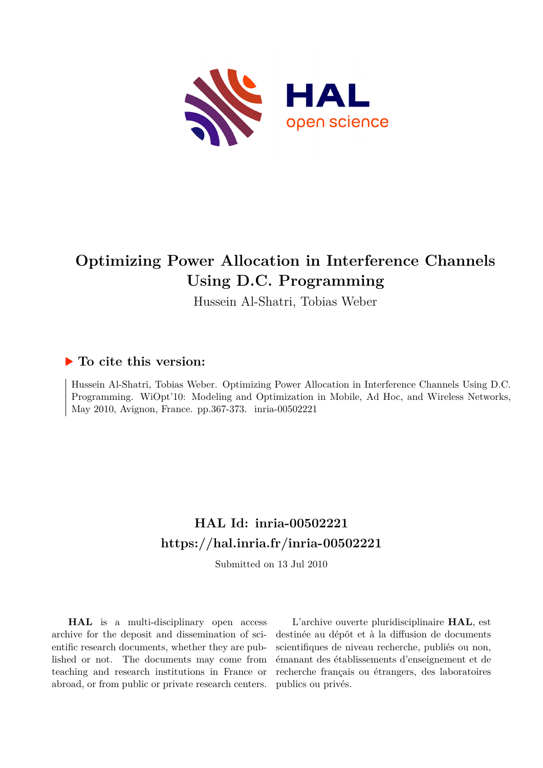

## **Optimizing Power Allocation in Interference Channels Using D.C. Programming**

Hussein Al-Shatri, Tobias Weber

### **To cite this version:**

Hussein Al-Shatri, Tobias Weber. Optimizing Power Allocation in Interference Channels Using D.C. Programming. WiOpt'10: Modeling and Optimization in Mobile, Ad Hoc, and Wireless Networks, May 2010, Avignon, France. pp.367-373. inria-00502221

## **HAL Id: inria-00502221 <https://hal.inria.fr/inria-00502221>**

Submitted on 13 Jul 2010

**HAL** is a multi-disciplinary open access archive for the deposit and dissemination of scientific research documents, whether they are published or not. The documents may come from teaching and research institutions in France or abroad, or from public or private research centers.

L'archive ouverte pluridisciplinaire **HAL**, est destinée au dépôt et à la diffusion de documents scientifiques de niveau recherche, publiés ou non, émanant des établissements d'enseignement et de recherche français ou étrangers, des laboratoires publics ou privés.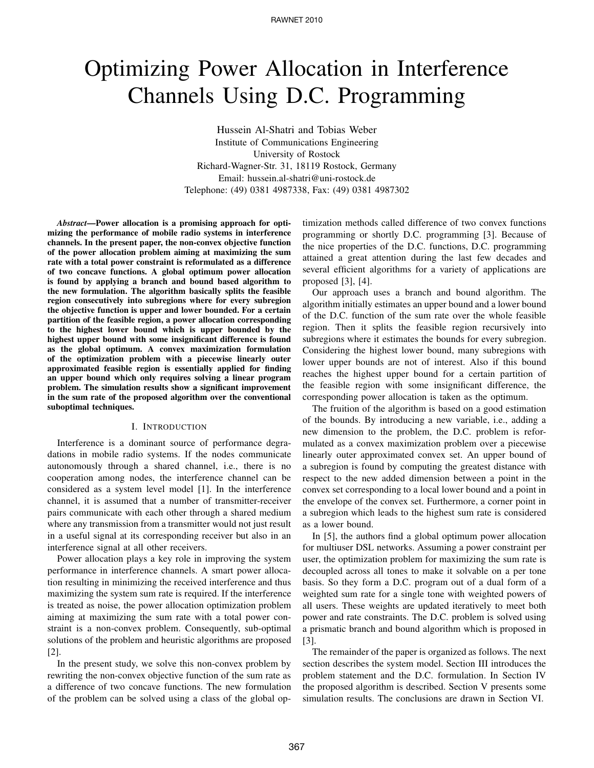# Optimizing Power Allocation in Interference Channels Using D.C. Programming

Hussein Al-Shatri and Tobias Weber Institute of Communications Engineering University of Rostock Richard-Wagner-Str. 31, 18119 Rostock, Germany Email: hussein.al-shatri@uni-rostock.de Telephone: (49) 0381 4987338, Fax: (49) 0381 4987302

*Abstract***—Power allocation is a promising approach for optimizing the performance of mobile radio systems in interference channels. In the present paper, the non-convex objective function of the power allocation problem aiming at maximizing the sum rate with a total power constraint is reformulated as a difference of two concave functions. A global optimum power allocation is found by applying a branch and bound based algorithm to the new formulation. The algorithm basically splits the feasible region consecutively into subregions where for every subregion the objective function is upper and lower bounded. For a certain partition of the feasible region, a power allocation corresponding to the highest lower bound which is upper bounded by the highest upper bound with some insignificant difference is found as the global optimum. A convex maximization formulation of the optimization problem with a piecewise linearly outer approximated feasible region is essentially applied for finding an upper bound which only requires solving a linear program problem. The simulation results show a significant improvement in the sum rate of the proposed algorithm over the conventional suboptimal techniques.**

#### I. INTRODUCTION

Interference is a dominant source of performance degradations in mobile radio systems. If the nodes communicate autonomously through a shared channel, i.e., there is no cooperation among nodes, the interference channel can be considered as a system level model [1]. In the interference channel, it is assumed that a number of transmitter-receiver pairs communicate with each other through a shared medium where any transmission from a transmitter would not just result in a useful signal at its corresponding receiver but also in an interference signal at all other receivers.

Power allocation plays a key role in improving the system performance in interference channels. A smart power allocation resulting in minimizing the received interference and thus maximizing the system sum rate is required. If the interference is treated as noise, the power allocation optimization problem aiming at maximizing the sum rate with a total power constraint is a non-convex problem. Consequently, sub-optimal solutions of the problem and heuristic algorithms are proposed [2].

In the present study, we solve this non-convex problem by rewriting the non-convex objective function of the sum rate as a difference of two concave functions. The new formulation of the problem can be solved using a class of the global optimization methods called difference of two convex functions programming or shortly D.C. programming [3]. Because of the nice properties of the D.C. functions, D.C. programming attained a great attention during the last few decades and several efficient algorithms for a variety of applications are proposed [3], [4].

Our approach uses a branch and bound algorithm. The algorithm initially estimates an upper bound and a lower bound of the D.C. function of the sum rate over the whole feasible region. Then it splits the feasible region recursively into subregions where it estimates the bounds for every subregion. Considering the highest lower bound, many subregions with lower upper bounds are not of interest. Also if this bound reaches the highest upper bound for a certain partition of the feasible region with some insignificant difference, the corresponding power allocation is taken as the optimum.

The fruition of the algorithm is based on a good estimation of the bounds. By introducing a new variable, i.e., adding a new dimension to the problem, the D.C. problem is reformulated as a convex maximization problem over a piecewise linearly outer approximated convex set. An upper bound of a subregion is found by computing the greatest distance with respect to the new added dimension between a point in the convex set corresponding to a local lower bound and a point in the envelope of the convex set. Furthermore, a corner point in a subregion which leads to the highest sum rate is considered as a lower bound.

In [5], the authors find a global optimum power allocation for multiuser DSL networks. Assuming a power constraint per user, the optimization problem for maximizing the sum rate is decoupled across all tones to make it solvable on a per tone basis. So they form a D.C. program out of a dual form of a weighted sum rate for a single tone with weighted powers of all users. These weights are updated iteratively to meet both power and rate constraints. The D.C. problem is solved using a prismatic branch and bound algorithm which is proposed in [3].

The remainder of the paper is organized as follows. The next section describes the system model. Section III introduces the problem statement and the D.C. formulation. In Section IV the proposed algorithm is described. Section V presents some simulation results. The conclusions are drawn in Section VI.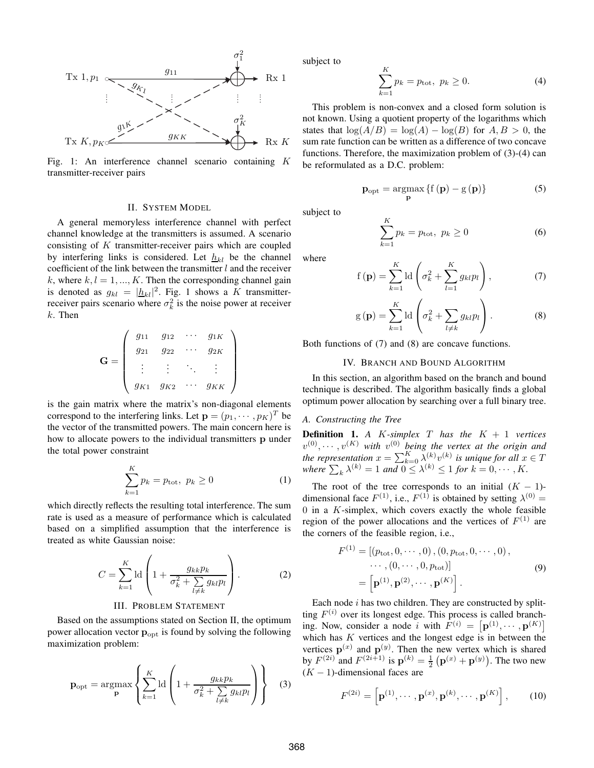

Fig. 1: An interference channel scenario containing K transmitter-receiver pairs

#### II. SYSTEM MODEL

A general memoryless interference channel with perfect channel knowledge at the transmitters is assumed. A scenario consisting of  $K$  transmitter-receiver pairs which are coupled by interfering links is considered. Let  $h_{kl}$  be the channel coefficient of the link between the transmitter  $l$  and the receiver k, where  $k, l = 1, ..., K$ . Then the corresponding channel gain is denoted as  $g_{kl} = |\underline{h}_{kl}|^2$ . Fig. 1 shows a K transmitterreceiver pairs scenario where  $\sigma_k^2$  is the noise power at receiver  $k$ . Then

$$
\mathbf{G} = \left( \begin{array}{cccc} g_{11} & g_{12} & \cdots & g_{1K} \\ g_{21} & g_{22} & \cdots & g_{2K} \\ \vdots & \vdots & \ddots & \vdots \\ g_{K1} & g_{K2} & \cdots & g_{KK} \end{array} \right)
$$

is the gain matrix where the matrix's non-diagonal elements correspond to the interfering links. Let  $\mathbf{p} = (p_1, \dots, p_K)^T$  be the vector of the transmitted powers. The main concern here is how to allocate powers to the individual transmitters **p** under the total power constraint

$$
\sum_{k=1}^{K} p_k = p_{\text{tot}}, \ p_k \ge 0 \tag{1}
$$

which directly reflects the resulting total interference. The sum rate is used as a measure of performance which is calculated based on a simplified assumption that the interference is treated as white Gaussian noise:

$$
C = \sum_{k=1}^{K} \mathrm{ld} \left( 1 + \frac{g_{kk} p_k}{\sigma_k^2 + \sum_{l \neq k} g_{kl} p_l} \right). \tag{2}
$$

#### III. PROBLEM STATEMENT

Based on the assumptions stated on Section II, the optimum power allocation vector  $\mathbf{p}_{\text{opt}}$  is found by solving the following maximization problem:

$$
\mathbf{p}_{\rm opt} = \underset{\mathbf{p}}{\text{argmax}} \left\{ \sum_{k=1}^{K} \text{ld} \left( 1 + \frac{g_{kk} p_k}{\sigma_k^2 + \sum_{l \neq k} g_{kl} p_l} \right) \right\} \quad (3)
$$

subject to

$$
\sum_{k=1}^{K} p_k = p_{\text{tot}}, \ p_k \ge 0.
$$
 (4)

This problem is non-convex and a closed form solution is not known. Using a quotient property of the logarithms which states that  $\log(A/B) = \log(A) - \log(B)$  for  $A, B > 0$ , the sum rate function can be written as a difference of two concave functions. Therefore, the maximization problem of (3)-(4) can be reformulated as a D.C. problem:

$$
\mathbf{p}_{\rm opt} = \underset{\mathbf{p}}{\operatorname{argmax}} \left\{ \mathbf{f} \left( \mathbf{p} \right) - \mathbf{g} \left( \mathbf{p} \right) \right\} \tag{5}
$$

subject to

$$
\sum_{k=1}^{K} p_k = p_{\text{tot}}, \ p_k \ge 0
$$
 (6)

where

$$
f(\mathbf{p}) = \sum_{k=1}^{K} \mathrm{ld} \left( \sigma_k^2 + \sum_{l=1}^{K} g_{kl} p_l \right), \tag{7}
$$

$$
g(\mathbf{p}) = \sum_{k=1}^{K} \mathrm{ld} \left( \sigma_k^2 + \sum_{l \neq k} g_{kl} p_l \right). \tag{8}
$$

Both functions of (7) and (8) are concave functions.

#### IV. BRANCH AND BOUND ALGORITHM

In this section, an algorithm based on the branch and bound technique is described. The algorithm basically finds a global optimum power allocation by searching over a full binary tree.

#### *A. Constructing the Tree*

**Definition 1.** *A K*-simplex  $T$  *has the*  $K + 1$  *vertices*  $v^{(0)}, \cdots, v^{(K)}$  with  $v^{(0)}$  being the vertex at the origin and *the representation*  $x = \sum_{k=0}^{K} \lambda^{(k)} v^{(k)}$  *is unique for all*  $x \in T$ where  $\sum_{k} \lambda^{(k)} = 1$  and  $0 \leq \lambda^{(k)} \leq 1$  for  $k = 0, \dots, K$ .

The root of the tree corresponds to an initial  $(K - 1)$ dimensional face  $F^{(1)}$ , i.e.,  $F^{(1)}$  is obtained by setting  $\lambda^{(0)} =$  $0$  in a  $K$ -simplex, which covers exactly the whole feasible region of the power allocations and the vertices of  $F^{(1)}$  are the corners of the feasible region, i.e.,

$$
F^{(1)} = [(p_{\text{tot}}, 0, \cdots, 0), (0, p_{\text{tot}}, 0, \cdots, 0), \cdots, (0, \cdots, 0, p_{\text{tot}})]
$$
\n
$$
= [\mathbf{p}^{(1)}, \mathbf{p}^{(2)}, \cdots, \mathbf{p}^{(K)}].
$$
\n(9)

Each node  $i$  has two children. They are constructed by splitting  $F^{(i)}$  over its longest edge. This process is called branching. Now, consider a node i with  $F^{(i)} = [\mathbf{p}^{(1)}, \cdots, \mathbf{p}^{(K)}]$ which has  $K$  vertices and the longest edge is in between the vertices  $p^{(x)}$  and  $p^{(y)}$ . Then the new vertex which is shared by  $F^{(2i)}$  and  $F^{(2i+1)}$  is  $\mathbf{p}^{(k)} = \frac{1}{2} (\mathbf{p}^{(x)} + \mathbf{p}^{(y)})$ . The two new  $(K - 1)$ -dimensional faces are

$$
F^{(2i)} = \left[ \mathbf{p}^{(1)}, \cdots, \mathbf{p}^{(x)}, \mathbf{p}^{(k)}, \cdots, \mathbf{p}^{(K)} \right],\qquad(10)
$$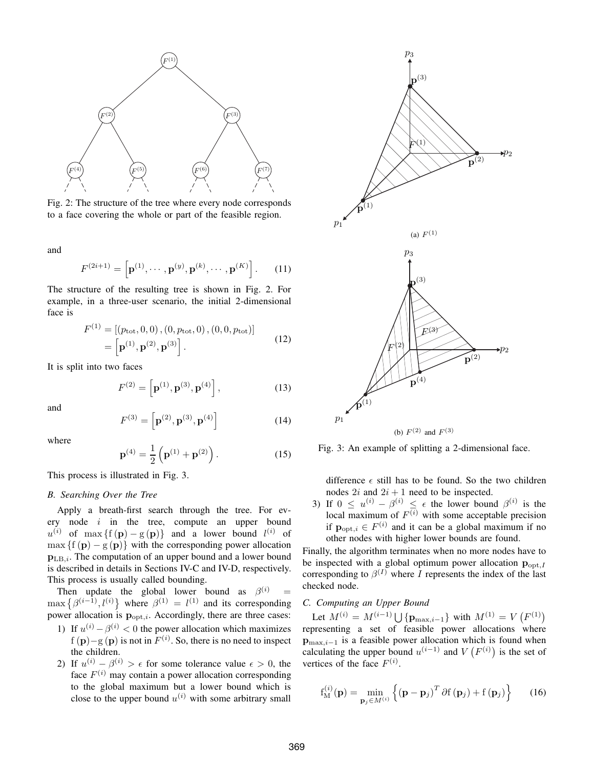

Fig. 2: The structure of the tree where every node corresponds to a face covering the whole or part of the feasible region.

and

$$
F^{(2i+1)} = \left[ \mathbf{p}^{(1)}, \cdots, \mathbf{p}^{(y)}, \mathbf{p}^{(k)}, \cdots, \mathbf{p}^{(K)} \right].
$$
 (11)

The structure of the resulting tree is shown in Fig. 2. For example, in a three-user scenario, the initial 2-dimensional face is

$$
F^{(1)} = [(p_{\text{tot}}, 0, 0), (0, p_{\text{tot}}, 0), (0, 0, p_{\text{tot}})]
$$
  
= 
$$
\left[\mathbf{p}^{(1)}, \mathbf{p}^{(2)}, \mathbf{p}^{(3)}\right].
$$
 (12)

It is split into two faces

$$
F^{(2)} = \left[ \mathbf{p}^{(1)}, \mathbf{p}^{(3)}, \mathbf{p}^{(4)} \right],
$$
 (13)

and

$$
F^{(3)} = \left[ \mathbf{p}^{(2)}, \mathbf{p}^{(3)}, \mathbf{p}^{(4)} \right] \tag{14}
$$

where

$$
\mathbf{p}^{(4)} = \frac{1}{2} \left( \mathbf{p}^{(1)} + \mathbf{p}^{(2)} \right). \tag{15}
$$

This process is illustrated in Fig. 3.

#### *B. Searching Over the Tree*

Apply a breath-first search through the tree. For every node  $i$  in the tree, compute an upper bound  $u^{(i)}$  of max {f (p) – g (p)} and a lower bound  $l^{(i)}$  of  $\max \{f(\mathbf{p}) - g(\mathbf{p})\}$  with the corresponding power allocation  $p_{LB,i}$ . The computation of an upper bound and a lower bound is described in details in Sections IV-C and IV-D, respectively. This process is usually called bounding.

Then update the global lower bound as  $\beta^{(i)}$  =  $\max \{ \beta^{(i-1)}, l^{(i)} \}$  where  $\beta^{(1)} = l^{(1)}$  and its corresponding power allocation is  $\mathbf{p}_{\text{opt},i}$ . Accordingly, there are three cases:

- 1) If  $u^{(i)} \beta^{(i)} < 0$  the power allocation which maximizes f (p)–g (p) is not in  $F^{(i)}$ . So, there is no need to inspect the children.
- 2) If  $u^{(i)} \beta^{(i)} > \epsilon$  for some tolerance value  $\epsilon > 0$ , the face  $F^{(i)}$  may contain a power allocation corresponding to the global maximum but a lower bound which is close to the upper bound  $u^{(i)}$  with some arbitrary small



(b)  $F^{(2)}$  and  $F^{(3)}$ 

Fig. 3: An example of splitting a 2-dimensional face.

difference  $\epsilon$  still has to be found. So the two children nodes  $2i$  and  $2i + 1$  need to be inspected.

3) If  $0 \leq u^{(i)} - \beta^{(i)} \leq \epsilon$  the lower bound  $\beta^{(i)}$  is the local maximum of  $F^{(i)}$  with some acceptable precision if  $\mathbf{p}_{\text{opt},i} \in F^{(i)}$  and it can be a global maximum if no other nodes with higher lower bounds are found.

Finally, the algorithm terminates when no more nodes have to be inspected with a global optimum power allocation  $\mathbf{p}_{\text{opt}}$ . corresponding to  $\beta^{(I)}$  where I represents the index of the last checked node.

#### *C. Computing an Upper Bound*

Let  $M^{(i)} = M^{(i-1)} \bigcup {\{\mathbf{p}_{\max,i-1}\}}$  with  $M^{(1)} = V(F^{(1)})$ representing a set of feasible power allocations where  $p_{\max,i-1}$  is a feasible power allocation which is found when calculating the upper bound  $u^{(i-1)}$  and  $V(F^{(i)})$  is the set of vertices of the face  $F^{(i)}$ .

$$
f_{\mathbf{M}}^{(i)}(\mathbf{p}) = \min_{\mathbf{p}_j \in M^{(i)}} \left\{ (\mathbf{p} - \mathbf{p}_j)^T \partial f(\mathbf{p}_j) + f(\mathbf{p}_j) \right\} \qquad (16)
$$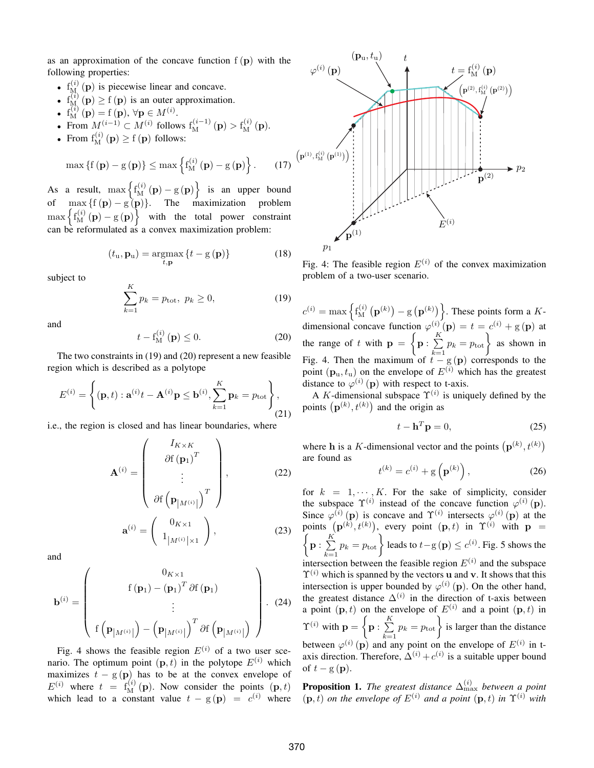as an approximation of the concave function  $f(p)$  with the following properties:

- $f_{M_1}^{(i)}(p)$  is piecewise linear and concave.
- $f_{M_{\lambda}}^{(i)}(\mathbf{p}) \geq f(\mathbf{p})$  is an outer approximation.
- $f_{\mathbf{M}}^{(i)}(\mathbf{p}) = f(\mathbf{p}), \forall \mathbf{p} \in M^{(i)}$ .

• From 
$$
M^{(i-1)} \subset M^{(i)}
$$
 follows  $f_M^{(i-1)}(p) > f_M^{(i)}(p)$ .

• From  $f_M^{(i)}(\mathbf{p}) \ge f(\mathbf{p})$  follows:

$$
\max\left\{f\left(\mathbf{p}\right)-g\left(\mathbf{p}\right)\right\}\leq\max\left\{f_{\mathrm{M}}^{(i)}\left(\mathbf{p}\right)-g\left(\mathbf{p}\right)\right\}.\qquad(17)
$$

As a result,  $\max \left\{ f_{\mathbf{M}}^{(i)}\left(\mathbf{p}\right) - \mathbf{g}\left(\mathbf{p}\right) \right\}$  is an upper bound of  $\max \{f(p) - g(p)\}.$  The maximization problem  $\max \left\{ f_{\mathbf{M}}^{(i)}\left(\mathbf{p}\right) - \mathbf{g}\left(\mathbf{p}\right) \right\}$  with the total power constraint can be reformulated as a convex maximization problem:

$$
(t_{\mathrm{u}}, \mathbf{p}_{\mathrm{u}}) = \underset{t, \mathbf{p}}{\operatorname{argmax}} \left\{ t - g\left(\mathbf{p}\right) \right\} \tag{18}
$$

subject to

$$
\sum_{k=1}^{K} p_k = p_{\text{tot}}, \ p_k \ge 0,
$$
\n(19)

and

$$
t - f_{\mathbf{M}}^{(i)}\left(\mathbf{p}\right) \le 0. \tag{20}
$$

The two constraints in (19) and (20) represent a new feasible region which is described as a polytope

$$
E^{(i)} = \left\{ (\mathbf{p}, t) : \mathbf{a}^{(i)}t - \mathbf{A}^{(i)}\mathbf{p} \le \mathbf{b}^{(i)}, \sum_{k=1}^{K} \mathbf{p}_k = p_{\text{tot}} \right\},\tag{21}
$$

i.e., the region is closed and has linear boundaries, where

$$
\mathbf{A}^{(i)} = \begin{pmatrix} I_{K \times K} \\ \partial f(\mathbf{p}_1)^T \\ \vdots \\ \partial f(\mathbf{p}_{|M^{(i)}|})^T \end{pmatrix}, \qquad (22)
$$

$$
\mathbf{a}^{(i)} = \begin{pmatrix} 0_{K \times 1} \\ 1_{|M^{(i)}| \times 1} \end{pmatrix}, \qquad (23)
$$

and

$$
\mathbf{b}^{(i)} = \begin{pmatrix} 0_{K \times 1} \\ f(\mathbf{p}_1) - (\mathbf{p}_1)^T \partial f(\mathbf{p}_1) \\ \vdots \\ f(\mathbf{p}_{|M^{(i)}|}) - (\mathbf{p}_{|M^{(i)}|})^T \partial f(\mathbf{p}_{|M^{(i)}|}) \end{pmatrix} . (24)
$$

Fig. 4 shows the feasible region  $E^{(i)}$  of a two user scenario. The optimum point  $(p, t)$  in the polytope  $E^{(i)}$  which maximizes  $t - g(p)$  has to be at the convex envelope of  $E^{(i)}$  where  $t = f_M^{(i)}(\mathbf{p})$ . Now consider the points  $(\mathbf{p}, t)$ which lead to a constant value  $t - g(\mathbf{p}) = c^{(i)}$  where



Fig. 4: The feasible region  $E^{(i)}$  of the convex maximization problem of a two-user scenario.

 $c^{(i)} = \max\left\{ \mathrm{f}_{\mathrm{M}}^{(i)} \right\}$  $\binom{(i)}{\mathrm{M}}\left(\mathbf{p}^{(k)}\right)-\mathrm{g}\left(\mathbf{p}^{(k)}\right)$ . These points form a  $K$ dimensional concave function  $\varphi^{(i)}(\mathbf{p}) = t = c^{(i)} + g(\mathbf{p})$  at the range of t with  $p = \{p : \sum_{i=1}^{K} p_i\}$  $\sum_{k=1}^{K} p_k = p_{\text{tot}}$  as shown in Fig. 4. Then the maximum of  $t - g(p)$  corresponds to the point  $(\mathbf{p}_u, t_u)$  on the envelope of  $E^{(i)}$  which has the greatest distance to  $\varphi^{(i)}(\mathbf{p})$  with respect to t-axis.

A K-dimensional subspace  $\Upsilon^{(i)}$  is uniquely defined by the points  $(\mathbf{p}^{(k)}, t^{(k)})$  and the origin as

$$
t - \mathbf{h}^T \mathbf{p} = 0,\t(25)
$$

where h is a K-dimensional vector and the points  $(\mathbf{p}^{(k)}, t^{(k)})$ are found as

$$
t^{(k)} = c^{(i)} + g\left(\mathbf{p}^{(k)}\right),\tag{26}
$$

for  $k = 1, \dots, K$ . For the sake of simplicity, consider the subspace  $\Upsilon^{(i)}$  instead of the concave function  $\varphi^{(i)}(\mathbf{p})$ . Since  $\varphi^{(i)}(\mathbf{p})$  is concave and  $\Upsilon^{(i)}$  intersects  $\varphi^{(i)}(\mathbf{p})$  at the points  $(\mathbf{p}^{(k)}, t^{(k)})$ , every point  $(\mathbf{p}, t)$  in  $\Upsilon^{(i)}$  with  $\mathbf{p}$  =  $\big\{\mathbf{p}:\frac{K}{\sum}\big\}$  $\sum_{k=1}^{K} p_k = p_{\text{tot}} \bigg\}$  leads to  $t - g\left(\mathbf{p}\right) \leq c^{(i)}$ . Fig. 5 shows the intersection between the feasible region  $E^{(i)}$  and the subspace  $\Upsilon^{(i)}$  which is spanned by the vectors **u** and **v**. It shows that this intersection is upper bounded by  $\varphi^{(i)}$  (p). On the other hand, the greatest distance  $\Delta^{(i)}$  in the direction of t-axis between a point  $(\mathbf{p}, t)$  on the envelope of  $E^{(i)}$  and a point  $(\mathbf{p}, t)$  in  $\Upsilon^{(i)}$  with  $\mathbf{p} = \left\{ \mathbf{p}: \sum\limits_{i=1}^K \sigma_i \right\}$  $\sum_{k=1}^{K} p_k = p_{\text{tot}}$  is larger than the distance between  $\varphi^{(i)}$  (p) and any point on the envelope of  $E^{(i)}$  in taxis direction. Therefore,  $\Delta^{(i)} + c^{(i)}$  is a suitable upper bound of  $t - g(\mathbf{p})$ .

**Proposition 1.** *The greatest distance*  $\Delta_{\max}^{(i)}$  *between a point*  $(\mathbf{p}, \overline{t})$  *on the envelope of*  $E^{(i)}$  *and a point*  $(\mathbf{p}, t)$  *in*  $\Upsilon^{(i)}$  *with*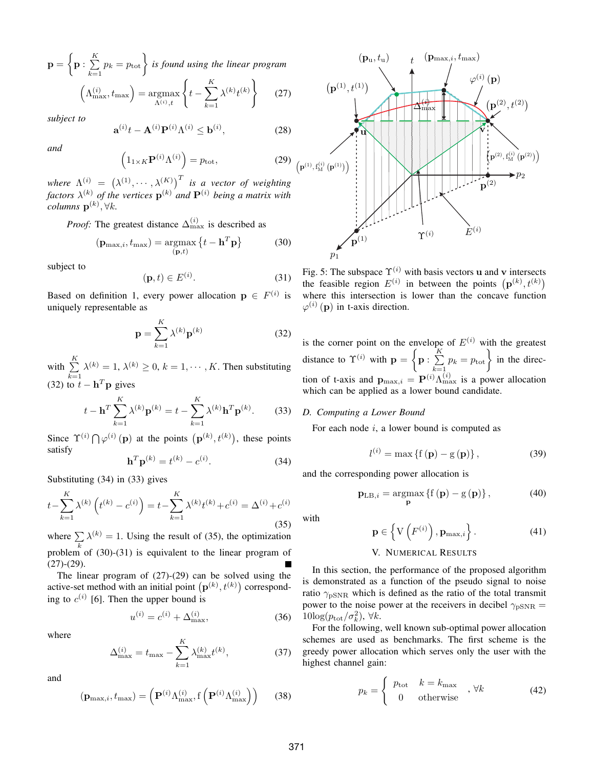$\mathbf{p} = \big\{ \mathbf{p}: \, \frac{K}{\sum} \,$  $\sum_{k=1}^{K} p_k = p_{\text{tot}} \bigg\}$  is found using the linear program  $\left(\Lambda_{\max}^{(i)}, t_{\max}\right) = \operatorname{argmax}$  $\operatorname*{rgmax}_{\Lambda^{(i)},t} \Bigg\{$  $t-\sum$ K  $\lambda^{(k)} t^{(k)}$ (27)

 $k=1$ *subject to*

$$
\mathbf{a}^{(i)}t - \mathbf{A}^{(i)}\mathbf{P}^{(i)}\Lambda^{(i)} \le \mathbf{b}^{(i)},\tag{28}
$$

*and*

$$
\left(1_{1\times K}\mathbf{P}^{(i)}\Lambda^{(i)}\right) = p_{\text{tot}},\tag{29}
$$

where  $\Lambda^{(i)} = (\lambda^{(1)}, \cdots, \lambda^{(K)})^T$  *is a vector of weighting factors*  $\lambda^{(k)}$  *of the vertices*  $\mathbf{p}^{(k)}$  *and*  $\mathbf{P}^{(i)}$  *being a matrix with*  $columns~\mathbf{p}^{(k)},\forall k.$ 

*Proof:* The greatest distance  $\Delta_{\text{max}}^{(i)}$  is described as

$$
(\mathbf{p}_{\max,i}, t_{\max}) = \underset{(\mathbf{p}, t)}{\operatorname{argmax}} \left\{ t - \mathbf{h}^T \mathbf{p} \right\}
$$
 (30)

subject to

$$
(\mathbf{p},t) \in E^{(i)}.\tag{31}
$$

Based on definition 1, every power allocation  $p \in F^{(i)}$  is uniquely representable as

$$
\mathbf{p} = \sum_{k=1}^{K} \lambda^{(k)} \mathbf{p}^{(k)}
$$
(32)

with  $\sum_{k=1}^{K}$  $k=1$  $\lambda^{(k)} = 1, \, \lambda^{(k)} \geq 0, \, k = 1, \cdots, K.$  Then substituting (32) to  $t - \mathbf{h}^T \mathbf{p}$  gives

$$
t - \mathbf{h}^T \sum_{k=1}^K \lambda^{(k)} \mathbf{p}^{(k)} = t - \sum_{k=1}^K \lambda^{(k)} \mathbf{h}^T \mathbf{p}^{(k)}.
$$
 (33)

Since  $\Upsilon^{(i)} \bigcap \varphi^{(i)}(\mathbf{p})$  at the points  $(\mathbf{p}^{(k)}, t^{(k)})$ , these points satisfy

$$
\mathbf{h}^T \mathbf{p}^{(k)} = t^{(k)} - c^{(i)}.
$$
 (34)

Substituting (34) in (33) gives

$$
t - \sum_{k=1}^{K} \lambda^{(k)} \left( t^{(k)} - c^{(i)} \right) = t - \sum_{k=1}^{K} \lambda^{(k)} t^{(k)} + c^{(i)} = \Delta^{(i)} + c^{(i)}
$$
\n(35)

where  $\sum_{k} \lambda^{(k)} = 1$ . Using the result of (35), the optimization problem of (30)-(31) is equivalent to the linear program of  $(27)-(29)$ .

The linear program of (27)-(29) can be solved using the active-set method with an initial point  $(\mathbf{p}^{(k)}, t^{(k)})$  corresponding to  $c^{(i)}$  [6]. Then the upper bound is

$$
u^{(i)} = c^{(i)} + \Delta_{\text{max}}^{(i)},\tag{36}
$$

where

$$
\Delta_{\max}^{(i)} = t_{\max} - \sum_{k=1}^{K} \lambda_{\max}^{(k)} t^{(k)},
$$
\n(37)

and

$$
(\mathbf{p}_{\max,i}, t_{\max}) = \left(\mathbf{P}^{(i)} \Lambda_{\max}^{(i)}, \mathbf{f} \left(\mathbf{P}^{(i)} \Lambda_{\max}^{(i)}\right)\right) \tag{38}
$$



Fig. 5: The subspace  $\Upsilon^{(i)}$  with basis vectors u and v intersects the feasible region  $E^{(i)}$  in between the points  $(\mathbf{p}^{(k)}, t^{(k)})$ where this intersection is lower than the concave function  $\varphi^{(i)}(\mathbf{p})$  in t-axis direction.

is the corner point on the envelope of  $E^{(i)}$  with the greatest distance to  $\Upsilon^{(i)}$  with  $\mathbf{p} = \begin{cases} \mathbf{p} : \sum_{i=1}^{K} \mathbf{p} \end{cases}$  $\sum_{k=1}^{K} p_k = p_{\text{tot}}$  in the direction of t-axis and  $\mathbf{p}_{\text{max},i} = \mathbf{P}^{(i)} \Lambda_{\text{max}}^{(i)}$  is a power allocation which can be applied as a lower bound candidate.

#### *D. Computing a Lower Bound*

For each node  $i$ , a lower bound is computed as

$$
l^{(i)} = \max\left\{f\left(\mathbf{p}\right) - g\left(\mathbf{p}\right)\right\},\tag{39}
$$

and the corresponding power allocation is

$$
\mathbf{p}_{\text{LB},i} = \underset{\mathbf{p}}{\operatorname{argmax}} \left\{ \mathbf{f}\left(\mathbf{p}\right) - \mathbf{g}\left(\mathbf{p}\right) \right\},\tag{40}
$$

with

$$
\mathbf{p} \in \left\{ \mathbf{V} \left( F^{(i)} \right), \mathbf{p}_{\max, i} \right\}. \tag{41}
$$

#### V. NUMERICAL RESULTS

In this section, the performance of the proposed algorithm is demonstrated as a function of the pseudo signal to noise ratio  $\gamma_{\rm pSNR}$  which is defined as the ratio of the total transmit power to the noise power at the receivers in decibel  $\gamma_{\text{pSNR}} =$  $10\log(p_{\text{tot}}/\sigma_k^2), \forall k.$ 

For the following, well known sub-optimal power allocation schemes are used as benchmarks. The first scheme is the greedy power allocation which serves only the user with the highest channel gain:

$$
p_k = \begin{cases} p_{\text{tot}} & k = k_{\text{max}} \\ 0 & \text{otherwise} \end{cases} \quad , \forall k \tag{42}
$$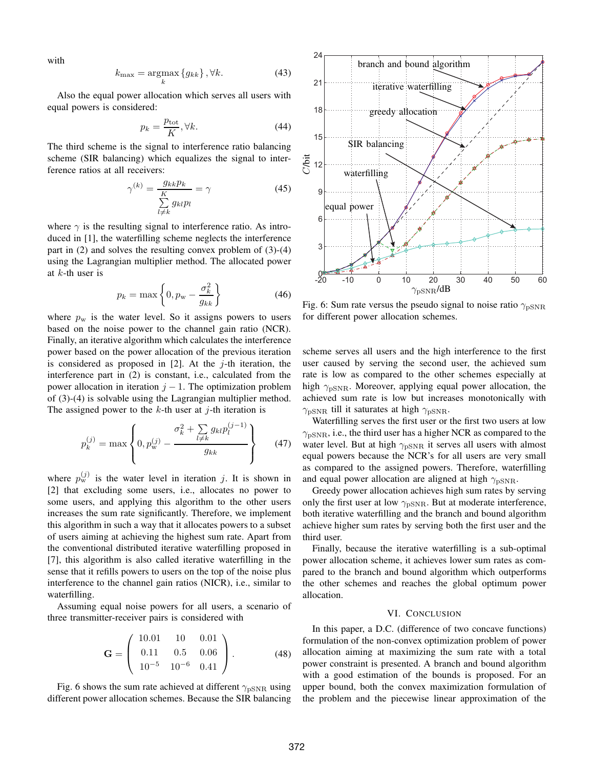with

$$
k_{\max} = \underset{k}{\operatorname{argmax}} \left\{ g_{kk} \right\}, \forall k. \tag{43}
$$

Also the equal power allocation which serves all users with equal powers is considered:

$$
p_k = \frac{p_{\text{tot}}}{K}, \forall k. \tag{44}
$$

The third scheme is the signal to interference ratio balancing scheme (SIR balancing) which equalizes the signal to interference ratios at all receivers:

$$
\gamma^{(k)} = \frac{g_{kk}p_k}{\sum\limits_{l \neq k}^{K} g_{kl}p_l} = \gamma \tag{45}
$$

where  $\gamma$  is the resulting signal to interference ratio. As introduced in [1], the waterfilling scheme neglects the interference part in  $(2)$  and solves the resulting convex problem of  $(3)-(4)$ using the Lagrangian multiplier method. The allocated power at  $k$ -th user is

$$
p_k = \max\left\{0, p_w - \frac{\sigma_k^2}{g_{kk}}\right\} \tag{46}
$$

where  $p_w$  is the water level. So it assigns powers to users based on the noise power to the channel gain ratio (NCR). Finally, an iterative algorithm which calculates the interference power based on the power allocation of the previous iteration is considered as proposed in  $[2]$ . At the j-th iteration, the interference part in (2) is constant, i.e., calculated from the power allocation in iteration  $j - 1$ . The optimization problem of (3)-(4) is solvable using the Lagrangian multiplier method. The assigned power to the  $k$ -th user at  $j$ -th iteration is

$$
p_k^{(j)} = \max \left\{ 0, p_w^{(j)} - \frac{\sigma_k^2 + \sum_{l \neq k} g_{kl} p_l^{(j-1)}}{g_{kk}} \right\}
$$
(47)

where  $p_{\rm w}^{(j)}$  is the water level in iteration j. It is shown in [2] that excluding some users, i.e., allocates no power to some users, and applying this algorithm to the other users increases the sum rate significantly. Therefore, we implement this algorithm in such a way that it allocates powers to a subset of users aiming at achieving the highest sum rate. Apart from the conventional distributed iterative waterfilling proposed in [7], this algorithm is also called iterative waterfilling in the sense that it refills powers to users on the top of the noise plus interference to the channel gain ratios (NICR), i.e., similar to waterfilling.

Assuming equal noise powers for all users, a scenario of three transmitter-receiver pairs is considered with

$$
\mathbf{G} = \left( \begin{array}{ccc} 10.01 & 10 & 0.01 \\ 0.11 & 0.5 & 0.06 \\ 10^{-5} & 10^{-6} & 0.41 \end{array} \right). \tag{48}
$$

Fig. 6 shows the sum rate achieved at different  $\gamma_{\rm pSNR}$  using different power allocation schemes. Because the SIR balancing



Fig. 6: Sum rate versus the pseudo signal to noise ratio  $\gamma_{\rm pSNR}$ for different power allocation schemes.

scheme serves all users and the high interference to the first user caused by serving the second user, the achieved sum rate is low as compared to the other schemes especially at high  $\gamma_{\rm pSNR}$ . Moreover, applying equal power allocation, the achieved sum rate is low but increases monotonically with  $\gamma_{\rm pSNR}$  till it saturates at high  $\gamma_{\rm pSNR}$ .

Waterfilling serves the first user or the first two users at low  $\gamma_{\rm pSNR}$ , i.e., the third user has a higher NCR as compared to the water level. But at high  $\gamma_{\rm pSNR}$  it serves all users with almost equal powers because the NCR's for all users are very small as compared to the assigned powers. Therefore, waterfilling and equal power allocation are aligned at high  $\gamma_{pSNR}$ .

Greedy power allocation achieves high sum rates by serving only the first user at low  $\gamma_{\text{DSNR}}$ . But at moderate interference, both iterative waterfilling and the branch and bound algorithm achieve higher sum rates by serving both the first user and the third user.

Finally, because the iterative waterfilling is a sub-optimal power allocation scheme, it achieves lower sum rates as compared to the branch and bound algorithm which outperforms the other schemes and reaches the global optimum power allocation.

#### VI. CONCLUSION

In this paper, a D.C. (difference of two concave functions) formulation of the non-convex optimization problem of power allocation aiming at maximizing the sum rate with a total power constraint is presented. A branch and bound algorithm with a good estimation of the bounds is proposed. For an upper bound, both the convex maximization formulation of the problem and the piecewise linear approximation of the